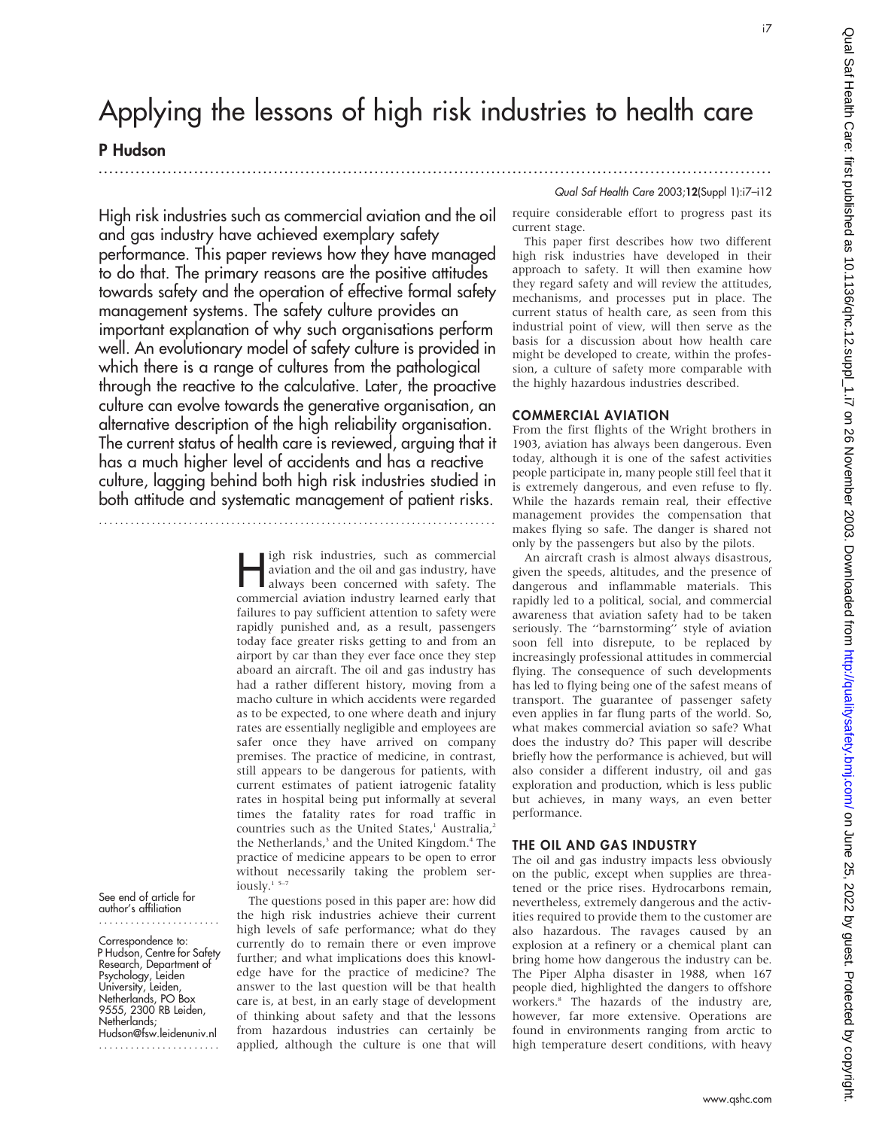# Applying the lessons of high risk industries to health care

.............................................................................................................................. .

### P Hudson

High risk industries such as commercial aviation and the oil and gas industry have achieved exemplary safety performance. This paper reviews how they have managed to do that. The primary reasons are the positive attitudes towards safety and the operation of effective formal safety management systems. The safety culture provides an important explanation of why such organisations perform well. An evolutionary model of safety culture is provided in which there is a range of cultures from the pathological through the reactive to the calculative. Later, the proactive culture can evolve towards the generative organisation, an alternative description of the high reliability organisation. The current status of health care is reviewed, arguing that it has a much higher level of accidents and has a reactive culture, lagging behind both high risk industries studied in both attitude and systematic management of patient risks. ...........................................................................

> **Hermit risk industries, such as commercial**<br>aviation and the oil and gas industry, have<br>always been concerned with safety. The<br>commercial wisting industry learned early that aviation and the oil and gas industry, have commercial aviation industry learned early that failures to pay sufficient attention to safety were rapidly punished and, as a result, passengers today face greater risks getting to and from an airport by car than they ever face once they step aboard an aircraft. The oil and gas industry has had a rather different history, moving from a macho culture in which accidents were regarded as to be expected, to one where death and injury rates are essentially negligible and employees are safer once they have arrived on company premises. The practice of medicine, in contrast, still appears to be dangerous for patients, with current estimates of patient iatrogenic fatality rates in hospital being put informally at several times the fatality rates for road traffic in countries such as the United States, $<sup>1</sup>$  Australia, $<sup>2</sup>$ </sup></sup> the Netherlands,<sup>3</sup> and the United Kingdom.<sup>4</sup> The practice of medicine appears to be open to error without necessarily taking the problem seriously.<sup>15-7</sup>

> The questions posed in this paper are: how did the high risk industries achieve their current high levels of safe performance; what do they currently do to remain there or even improve further; and what implications does this knowledge have for the practice of medicine? The answer to the last question will be that health care is, at best, in an early stage of development of thinking about safety and that the lessons from hazardous industries can certainly be applied, although the culture is one that will

## Qual Saf Health Care 2003;12(Suppl 1):i7–i12

require considerable effort to progress past its current stage.

This paper first describes how two different high risk industries have developed in their approach to safety. It will then examine how they regard safety and will review the attitudes, mechanisms, and processes put in place. The current status of health care, as seen from this industrial point of view, will then serve as the basis for a discussion about how health care might be developed to create, within the profession, a culture of safety more comparable with the highly hazardous industries described.

#### COMMERCIAL AVIATION

From the first flights of the Wright brothers in 1903, aviation has always been dangerous. Even today, although it is one of the safest activities people participate in, many people still feel that it is extremely dangerous, and even refuse to fly. While the hazards remain real, their effective management provides the compensation that makes flying so safe. The danger is shared not only by the passengers but also by the pilots.

An aircraft crash is almost always disastrous, given the speeds, altitudes, and the presence of dangerous and inflammable materials. This rapidly led to a political, social, and commercial awareness that aviation safety had to be taken seriously. The ''barnstorming'' style of aviation soon fell into disrepute, to be replaced by increasingly professional attitudes in commercial flying. The consequence of such developments has led to flying being one of the safest means of transport. The guarantee of passenger safety even applies in far flung parts of the world. So, what makes commercial aviation so safe? What does the industry do? This paper will describe briefly how the performance is achieved, but will also consider a different industry, oil and gas exploration and production, which is less public but achieves, in many ways, an even better performance.

#### THE OIL AND GAS INDUSTRY

The oil and gas industry impacts less obviously on the public, except when supplies are threatened or the price rises. Hydrocarbons remain, nevertheless, extremely dangerous and the activities required to provide them to the customer are also hazardous. The ravages caused by an explosion at a refinery or a chemical plant can bring home how dangerous the industry can be. The Piper Alpha disaster in 1988, when 167 people died, highlighted the dangers to offshore workers.8 The hazards of the industry are, however, far more extensive. Operations are found in environments ranging from arctic to high temperature desert conditions, with heavy

See end of article for author's affiliation .......................

Correspondence to: P Hudson, Centre for Safety Research, Department of Psychology, Leiden University, Leiden, Netherlands, PO Box 9555, 2300 RB Leiden, Netherlands; Hudson@fsw.leidenuniv.nl .......................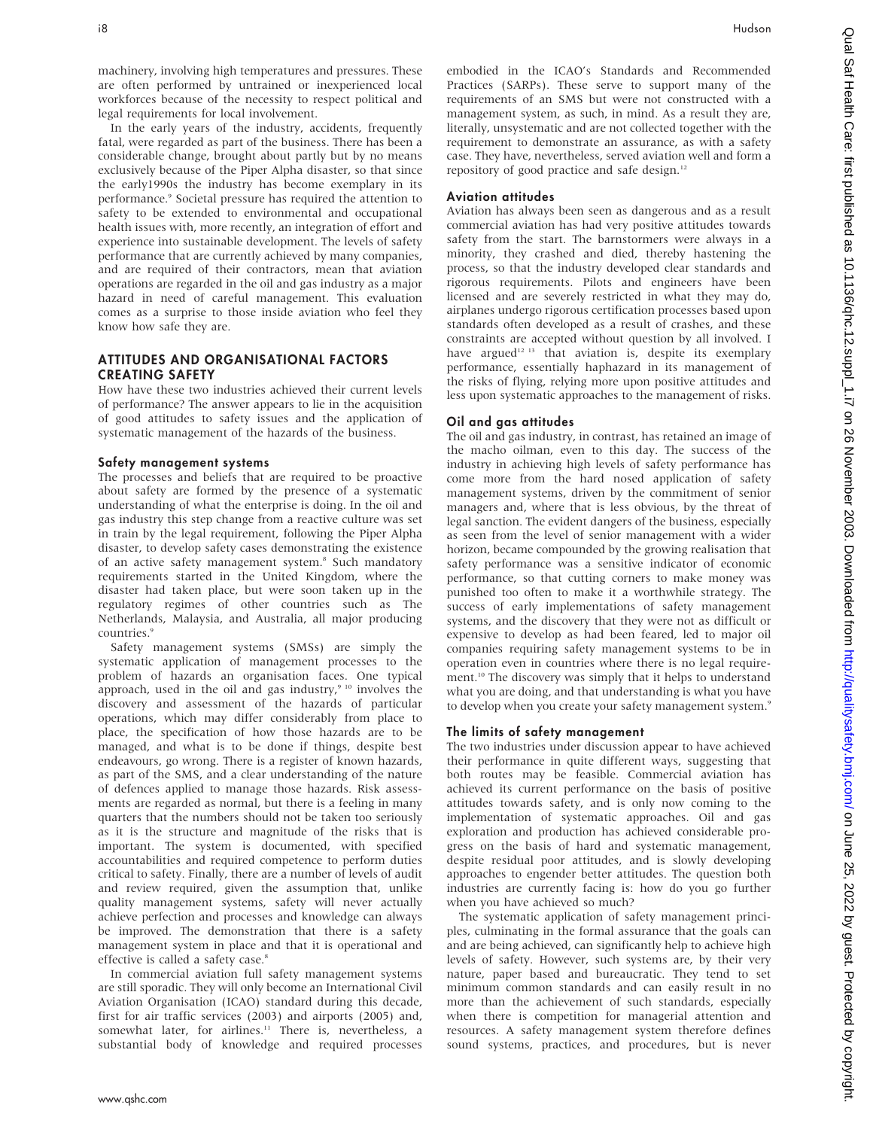machinery, involving high temperatures and pressures. These are often performed by untrained or inexperienced local workforces because of the necessity to respect political and legal requirements for local involvement.

In the early years of the industry, accidents, frequently fatal, were regarded as part of the business. There has been a considerable change, brought about partly but by no means exclusively because of the Piper Alpha disaster, so that since the early1990s the industry has become exemplary in its performance.<sup>9</sup> Societal pressure has required the attention to safety to be extended to environmental and occupational health issues with, more recently, an integration of effort and experience into sustainable development. The levels of safety performance that are currently achieved by many companies, and are required of their contractors, mean that aviation operations are regarded in the oil and gas industry as a major hazard in need of careful management. This evaluation comes as a surprise to those inside aviation who feel they know how safe they are.

#### ATTITUDES AND ORGANISATIONAL FACTORS CREATING SAFETY

How have these two industries achieved their current levels of performance? The answer appears to lie in the acquisition of good attitudes to safety issues and the application of systematic management of the hazards of the business.

#### Safety management systems

The processes and beliefs that are required to be proactive about safety are formed by the presence of a systematic understanding of what the enterprise is doing. In the oil and gas industry this step change from a reactive culture was set in train by the legal requirement, following the Piper Alpha disaster, to develop safety cases demonstrating the existence of an active safety management system.<sup>8</sup> Such mandatory requirements started in the United Kingdom, where the disaster had taken place, but were soon taken up in the regulatory regimes of other countries such as The Netherlands, Malaysia, and Australia, all major producing countries.<sup>9</sup>

Safety management systems (SMSs) are simply the systematic application of management processes to the problem of hazards an organisation faces. One typical approach, used in the oil and gas industry, $910$  involves the discovery and assessment of the hazards of particular operations, which may differ considerably from place to place, the specification of how those hazards are to be managed, and what is to be done if things, despite best endeavours, go wrong. There is a register of known hazards, as part of the SMS, and a clear understanding of the nature of defences applied to manage those hazards. Risk assessments are regarded as normal, but there is a feeling in many quarters that the numbers should not be taken too seriously as it is the structure and magnitude of the risks that is important. The system is documented, with specified accountabilities and required competence to perform duties critical to safety. Finally, there are a number of levels of audit and review required, given the assumption that, unlike quality management systems, safety will never actually achieve perfection and processes and knowledge can always be improved. The demonstration that there is a safety management system in place and that it is operational and effective is called a safety case.<sup>8</sup>

In commercial aviation full safety management systems are still sporadic. They will only become an International Civil Aviation Organisation (ICAO) standard during this decade, first for air traffic services (2003) and airports (2005) and, somewhat later, for airlines.<sup>11</sup> There is, nevertheless, a substantial body of knowledge and required processes embodied in the ICAO's Standards and Recommended Practices (SARPs). These serve to support many of the requirements of an SMS but were not constructed with a management system, as such, in mind. As a result they are, literally, unsystematic and are not collected together with the requirement to demonstrate an assurance, as with a safety case. They have, nevertheless, served aviation well and form a repository of good practice and safe design.12

#### Aviation attitudes

Aviation has always been seen as dangerous and as a result commercial aviation has had very positive attitudes towards safety from the start. The barnstormers were always in a minority, they crashed and died, thereby hastening the process, so that the industry developed clear standards and rigorous requirements. Pilots and engineers have been licensed and are severely restricted in what they may do, airplanes undergo rigorous certification processes based upon standards often developed as a result of crashes, and these constraints are accepted without question by all involved. I have argued<sup>12 13</sup> that aviation is, despite its exemplary performance, essentially haphazard in its management of the risks of flying, relying more upon positive attitudes and less upon systematic approaches to the management of risks.

#### Oil and gas attitudes

The oil and gas industry, in contrast, has retained an image of the macho oilman, even to this day. The success of the industry in achieving high levels of safety performance has come more from the hard nosed application of safety management systems, driven by the commitment of senior managers and, where that is less obvious, by the threat of legal sanction. The evident dangers of the business, especially as seen from the level of senior management with a wider horizon, became compounded by the growing realisation that safety performance was a sensitive indicator of economic performance, so that cutting corners to make money was punished too often to make it a worthwhile strategy. The success of early implementations of safety management systems, and the discovery that they were not as difficult or expensive to develop as had been feared, led to major oil companies requiring safety management systems to be in operation even in countries where there is no legal requirement.<sup>10</sup> The discovery was simply that it helps to understand what you are doing, and that understanding is what you have to develop when you create your safety management system.<sup>9</sup>

#### The limits of safety management

The two industries under discussion appear to have achieved their performance in quite different ways, suggesting that both routes may be feasible. Commercial aviation has achieved its current performance on the basis of positive attitudes towards safety, and is only now coming to the implementation of systematic approaches. Oil and gas exploration and production has achieved considerable progress on the basis of hard and systematic management, despite residual poor attitudes, and is slowly developing approaches to engender better attitudes. The question both industries are currently facing is: how do you go further when you have achieved so much?

The systematic application of safety management principles, culminating in the formal assurance that the goals can and are being achieved, can significantly help to achieve high levels of safety. However, such systems are, by their very nature, paper based and bureaucratic. They tend to set minimum common standards and can easily result in no more than the achievement of such standards, especially when there is competition for managerial attention and resources. A safety management system therefore defines sound systems, practices, and procedures, but is never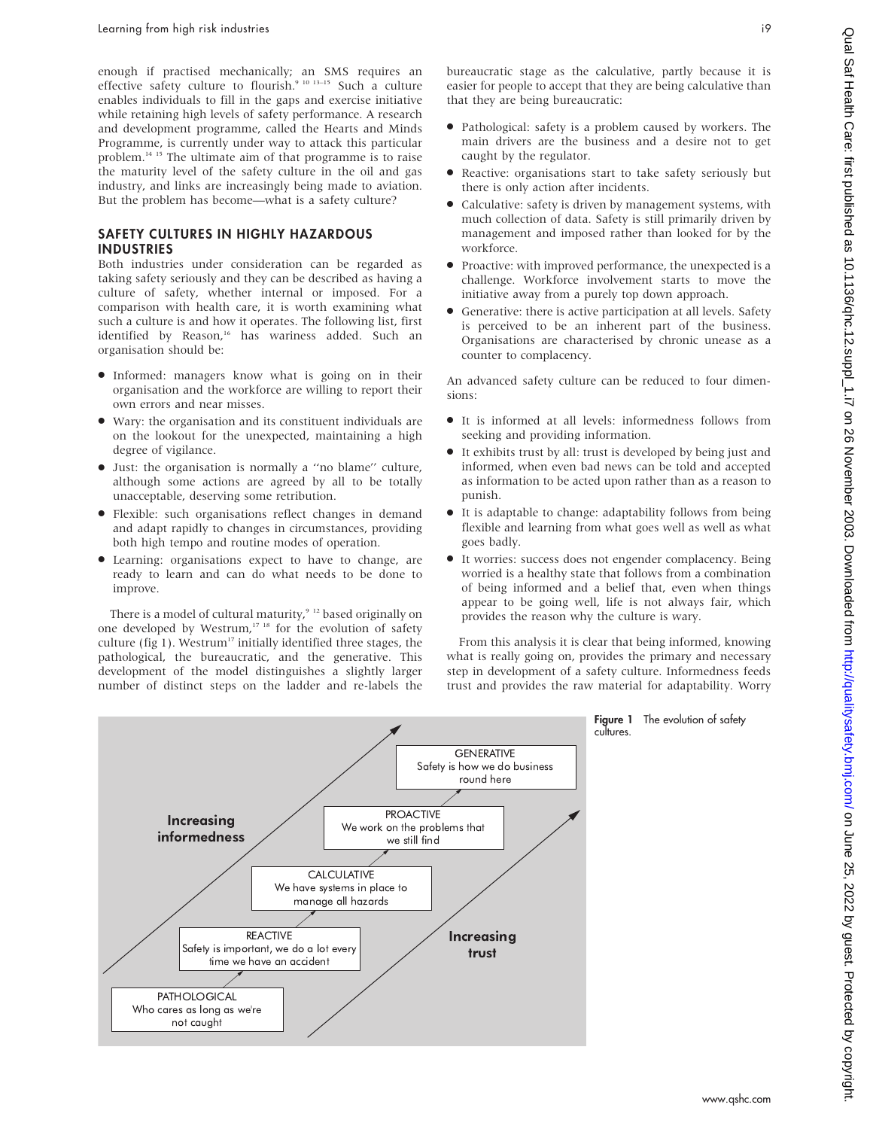enough if practised mechanically; an SMS requires an effective safety culture to flourish.<sup>9 10 13-15</sup> Such a culture enables individuals to fill in the gaps and exercise initiative while retaining high levels of safety performance. A research and development programme, called the Hearts and Minds Programme, is currently under way to attack this particular problem.<sup>14 15</sup> The ultimate aim of that programme is to raise the maturity level of the safety culture in the oil and gas industry, and links are increasingly being made to aviation. But the problem has become—what is a safety culture?

### SAFETY CULTURES IN HIGHLY HAZARDOUS INDUSTRIES

Both industries under consideration can be regarded as taking safety seriously and they can be described as having a culture of safety, whether internal or imposed. For a comparison with health care, it is worth examining what such a culture is and how it operates. The following list, first identified by Reason,<sup>16</sup> has wariness added. Such an organisation should be:

- Informed: managers know what is going on in their organisation and the workforce are willing to report their own errors and near misses.
- Wary: the organisation and its constituent individuals are on the lookout for the unexpected, maintaining a high degree of vigilance.
- N Just: the organisation is normally a ''no blame'' culture, although some actions are agreed by all to be totally unacceptable, deserving some retribution.
- N Flexible: such organisations reflect changes in demand and adapt rapidly to changes in circumstances, providing both high tempo and routine modes of operation.
- N Learning: organisations expect to have to change, are ready to learn and can do what needs to be done to improve.

There is a model of cultural maturity, $912$  based originally on one developed by Westrum, $17/18$  for the evolution of safety culture (fig 1). Westrum<sup>17</sup> initially identified three stages, the pathological, the bureaucratic, and the generative. This development of the model distinguishes a slightly larger number of distinct steps on the ladder and re-labels the bureaucratic stage as the calculative, partly because it is easier for people to accept that they are being calculative than that they are being bureaucratic:

- Pathological: safety is a problem caused by workers. The main drivers are the business and a desire not to get caught by the regulator.
- Reactive: organisations start to take safety seriously but there is only action after incidents.
- Calculative: safety is driven by management systems, with much collection of data. Safety is still primarily driven by management and imposed rather than looked for by the workforce.
- N Proactive: with improved performance, the unexpected is a challenge. Workforce involvement starts to move the initiative away from a purely top down approach.
- N Generative: there is active participation at all levels. Safety is perceived to be an inherent part of the business. Organisations are characterised by chronic unease as a counter to complacency.

An advanced safety culture can be reduced to four dimensions:

- N It is informed at all levels: informedness follows from seeking and providing information.
- N It exhibits trust by all: trust is developed by being just and informed, when even bad news can be told and accepted as information to be acted upon rather than as a reason to punish.
- N It is adaptable to change: adaptability follows from being flexible and learning from what goes well as well as what goes badly.
- $\bullet$  It worries: success does not engender complacency. Being worried is a healthy state that follows from a combination of being informed and a belief that, even when things appear to be going well, life is not always fair, which provides the reason why the culture is wary.

From this analysis it is clear that being informed, knowing what is really going on, provides the primary and necessary step in development of a safety culture. Informedness feeds trust and provides the raw material for adaptability. Worry

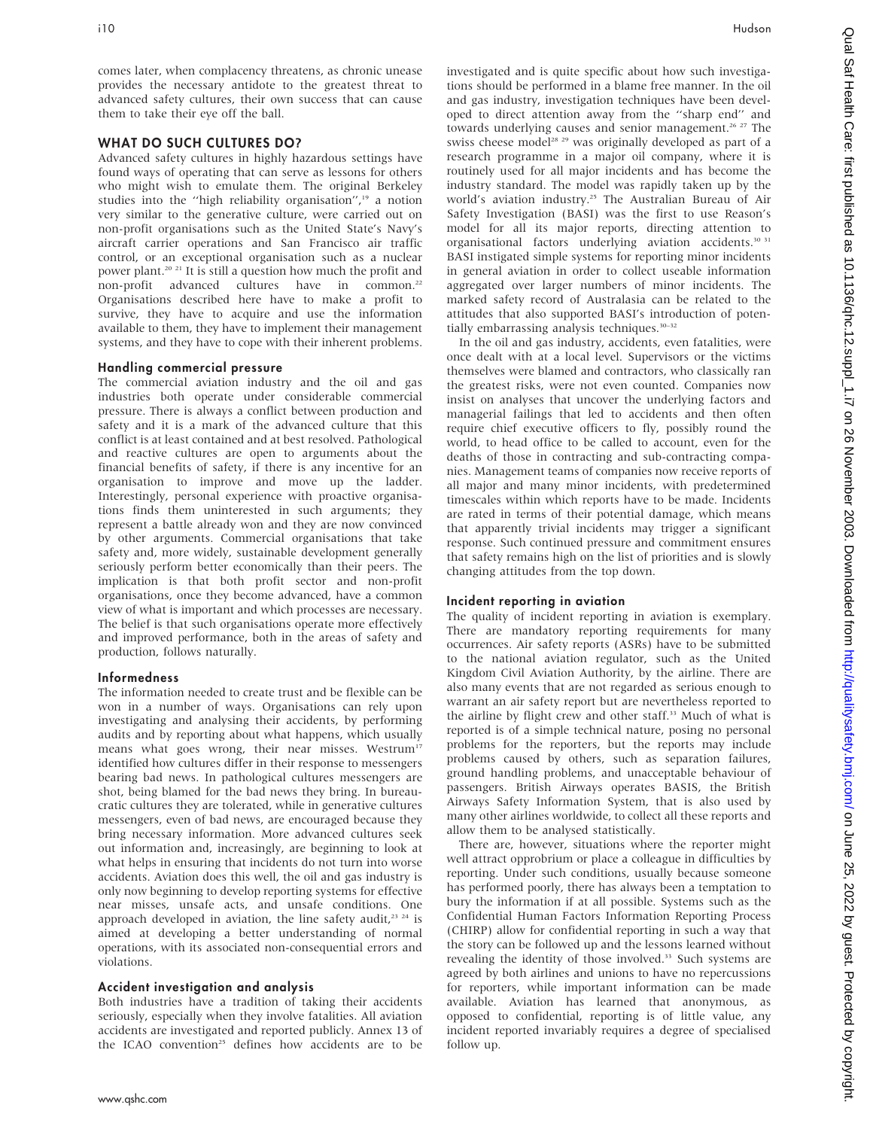comes later, when complacency threatens, as chronic unease provides the necessary antidote to the greatest threat to advanced safety cultures, their own success that can cause them to take their eye off the ball.

#### WHAT DO SUCH CULTURES DO?

Advanced safety cultures in highly hazardous settings have found ways of operating that can serve as lessons for others who might wish to emulate them. The original Berkeley studies into the "high reliability organisation",<sup>19</sup> a notion very similar to the generative culture, were carried out on non-profit organisations such as the United State's Navy's aircraft carrier operations and San Francisco air traffic control, or an exceptional organisation such as a nuclear power plant.20 21 It is still a question how much the profit and non-profit advanced cultures have in common.<sup>22</sup> Organisations described here have to make a profit to survive, they have to acquire and use the information available to them, they have to implement their management systems, and they have to cope with their inherent problems.

#### Handling commercial pressure

The commercial aviation industry and the oil and gas industries both operate under considerable commercial pressure. There is always a conflict between production and safety and it is a mark of the advanced culture that this conflict is at least contained and at best resolved. Pathological and reactive cultures are open to arguments about the financial benefits of safety, if there is any incentive for an organisation to improve and move up the ladder. Interestingly, personal experience with proactive organisations finds them uninterested in such arguments; they represent a battle already won and they are now convinced by other arguments. Commercial organisations that take safety and, more widely, sustainable development generally seriously perform better economically than their peers. The implication is that both profit sector and non-profit organisations, once they become advanced, have a common view of what is important and which processes are necessary. The belief is that such organisations operate more effectively and improved performance, both in the areas of safety and production, follows naturally.

#### Informedness

The information needed to create trust and be flexible can be won in a number of ways. Organisations can rely upon investigating and analysing their accidents, by performing audits and by reporting about what happens, which usually means what goes wrong, their near misses. Westrum<sup>17</sup> identified how cultures differ in their response to messengers bearing bad news. In pathological cultures messengers are shot, being blamed for the bad news they bring. In bureaucratic cultures they are tolerated, while in generative cultures messengers, even of bad news, are encouraged because they bring necessary information. More advanced cultures seek out information and, increasingly, are beginning to look at what helps in ensuring that incidents do not turn into worse accidents. Aviation does this well, the oil and gas industry is only now beginning to develop reporting systems for effective near misses, unsafe acts, and unsafe conditions. One approach developed in aviation, the line safety audit,<sup>23 24</sup> is aimed at developing a better understanding of normal operations, with its associated non-consequential errors and violations.

#### Accident investigation and analysis

Both industries have a tradition of taking their accidents seriously, especially when they involve fatalities. All aviation accidents are investigated and reported publicly. Annex 13 of the ICAO convention<sup>25</sup> defines how accidents are to be investigated and is quite specific about how such investigations should be performed in a blame free manner. In the oil and gas industry, investigation techniques have been developed to direct attention away from the ''sharp end'' and towards underlying causes and senior management.<sup>26</sup> <sup>27</sup> The swiss cheese model<sup>28 29</sup> was originally developed as part of a research programme in a major oil company, where it is routinely used for all major incidents and has become the industry standard. The model was rapidly taken up by the world's aviation industry.<sup>25</sup> The Australian Bureau of Air Safety Investigation (BASI) was the first to use Reason's model for all its major reports, directing attention to organisational factors underlying aviation accidents.<sup>30 31</sup> BASI instigated simple systems for reporting minor incidents in general aviation in order to collect useable information aggregated over larger numbers of minor incidents. The marked safety record of Australasia can be related to the attitudes that also supported BASI's introduction of potentially embarrassing analysis techniques.<sup>30-32</sup>

In the oil and gas industry, accidents, even fatalities, were once dealt with at a local level. Supervisors or the victims themselves were blamed and contractors, who classically ran the greatest risks, were not even counted. Companies now insist on analyses that uncover the underlying factors and managerial failings that led to accidents and then often require chief executive officers to fly, possibly round the world, to head office to be called to account, even for the deaths of those in contracting and sub-contracting companies. Management teams of companies now receive reports of all major and many minor incidents, with predetermined timescales within which reports have to be made. Incidents are rated in terms of their potential damage, which means that apparently trivial incidents may trigger a significant response. Such continued pressure and commitment ensures that safety remains high on the list of priorities and is slowly changing attitudes from the top down.

#### Incident reporting in aviation

The quality of incident reporting in aviation is exemplary. There are mandatory reporting requirements for many occurrences. Air safety reports (ASRs) have to be submitted to the national aviation regulator, such as the United Kingdom Civil Aviation Authority, by the airline. There are also many events that are not regarded as serious enough to warrant an air safety report but are nevertheless reported to the airline by flight crew and other staff.<sup>33</sup> Much of what is reported is of a simple technical nature, posing no personal problems for the reporters, but the reports may include problems caused by others, such as separation failures, ground handling problems, and unacceptable behaviour of passengers. British Airways operates BASIS, the British Airways Safety Information System, that is also used by many other airlines worldwide, to collect all these reports and allow them to be analysed statistically.

There are, however, situations where the reporter might well attract opprobrium or place a colleague in difficulties by reporting. Under such conditions, usually because someone has performed poorly, there has always been a temptation to bury the information if at all possible. Systems such as the Confidential Human Factors Information Reporting Process (CHIRP) allow for confidential reporting in such a way that the story can be followed up and the lessons learned without revealing the identity of those involved.<sup>33</sup> Such systems are agreed by both airlines and unions to have no repercussions for reporters, while important information can be made available. Aviation has learned that anonymous, as opposed to confidential, reporting is of little value, any incident reported invariably requires a degree of specialised follow up.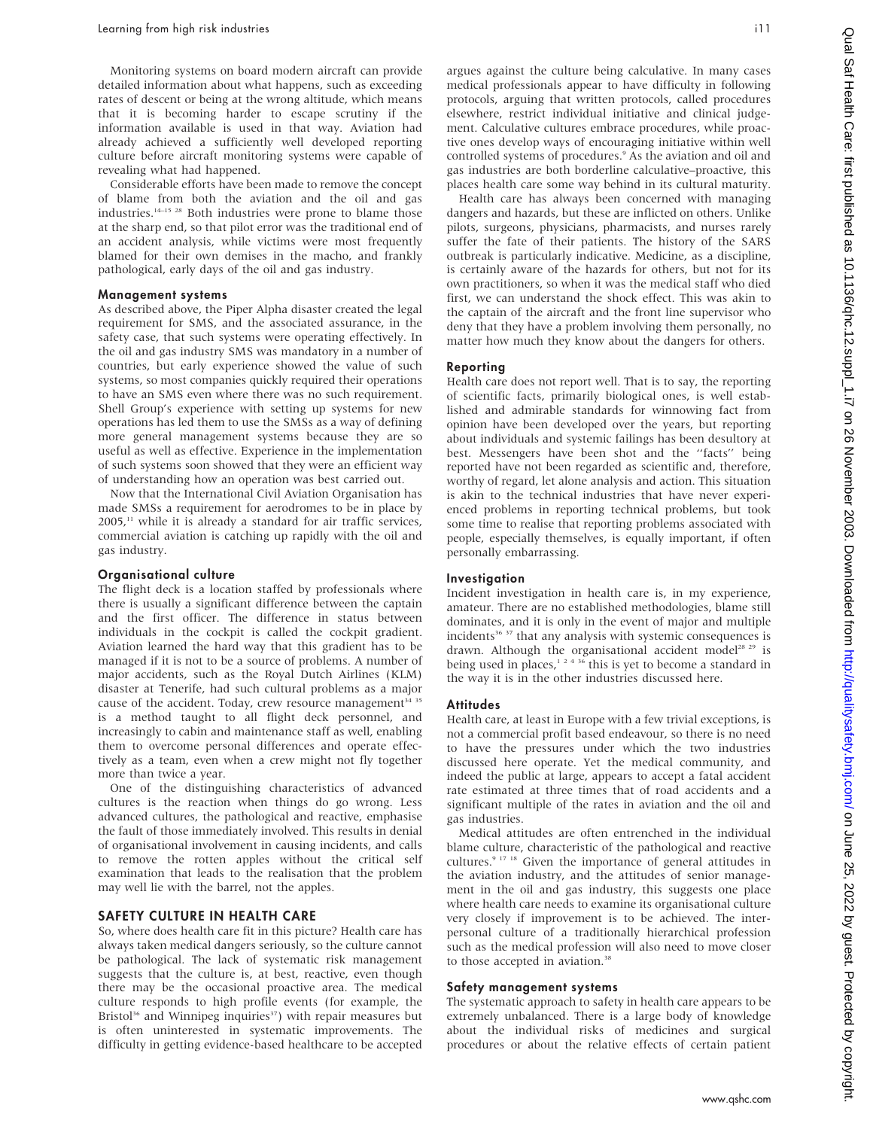Monitoring systems on board modern aircraft can provide detailed information about what happens, such as exceeding rates of descent or being at the wrong altitude, which means that it is becoming harder to escape scrutiny if the information available is used in that way. Aviation had already achieved a sufficiently well developed reporting culture before aircraft monitoring systems were capable of revealing what had happened.

Considerable efforts have been made to remove the concept of blame from both the aviation and the oil and gas industries.14–15 28 Both industries were prone to blame those at the sharp end, so that pilot error was the traditional end of an accident analysis, while victims were most frequently blamed for their own demises in the macho, and frankly pathological, early days of the oil and gas industry.

#### Management systems

As described above, the Piper Alpha disaster created the legal requirement for SMS, and the associated assurance, in the safety case, that such systems were operating effectively. In the oil and gas industry SMS was mandatory in a number of countries, but early experience showed the value of such systems, so most companies quickly required their operations to have an SMS even where there was no such requirement. Shell Group's experience with setting up systems for new operations has led them to use the SMSs as a way of defining more general management systems because they are so useful as well as effective. Experience in the implementation of such systems soon showed that they were an efficient way of understanding how an operation was best carried out.

Now that the International Civil Aviation Organisation has made SMSs a requirement for aerodromes to be in place by  $2005$ ,<sup>11</sup> while it is already a standard for air traffic services, commercial aviation is catching up rapidly with the oil and gas industry.

#### Organisational culture

The flight deck is a location staffed by professionals where there is usually a significant difference between the captain and the first officer. The difference in status between individuals in the cockpit is called the cockpit gradient. Aviation learned the hard way that this gradient has to be managed if it is not to be a source of problems. A number of major accidents, such as the Royal Dutch Airlines (KLM) disaster at Tenerife, had such cultural problems as a major cause of the accident. Today, crew resource management $34$   $35$ is a method taught to all flight deck personnel, and increasingly to cabin and maintenance staff as well, enabling them to overcome personal differences and operate effectively as a team, even when a crew might not fly together more than twice a year.

One of the distinguishing characteristics of advanced cultures is the reaction when things do go wrong. Less advanced cultures, the pathological and reactive, emphasise the fault of those immediately involved. This results in denial of organisational involvement in causing incidents, and calls to remove the rotten apples without the critical self examination that leads to the realisation that the problem may well lie with the barrel, not the apples.

#### SAFETY CULTURE IN HEALTH CARE

So, where does health care fit in this picture? Health care has always taken medical dangers seriously, so the culture cannot be pathological. The lack of systematic risk management suggests that the culture is, at best, reactive, even though there may be the occasional proactive area. The medical culture responds to high profile events (for example, the Bristol<sup>36</sup> and Winnipeg inquiries<sup>37</sup>) with repair measures but is often uninterested in systematic improvements. The difficulty in getting evidence-based healthcare to be accepted argues against the culture being calculative. In many cases medical professionals appear to have difficulty in following protocols, arguing that written protocols, called procedures elsewhere, restrict individual initiative and clinical judgement. Calculative cultures embrace procedures, while proactive ones develop ways of encouraging initiative within well controlled systems of procedures.<sup>9</sup> As the aviation and oil and gas industries are both borderline calculative–proactive, this places health care some way behind in its cultural maturity.

Health care has always been concerned with managing dangers and hazards, but these are inflicted on others. Unlike pilots, surgeons, physicians, pharmacists, and nurses rarely suffer the fate of their patients. The history of the SARS outbreak is particularly indicative. Medicine, as a discipline, is certainly aware of the hazards for others, but not for its own practitioners, so when it was the medical staff who died first, we can understand the shock effect. This was akin to the captain of the aircraft and the front line supervisor who deny that they have a problem involving them personally, no matter how much they know about the dangers for others.

#### Reporting

Health care does not report well. That is to say, the reporting of scientific facts, primarily biological ones, is well established and admirable standards for winnowing fact from opinion have been developed over the years, but reporting about individuals and systemic failings has been desultory at best. Messengers have been shot and the ''facts'' being reported have not been regarded as scientific and, therefore, worthy of regard, let alone analysis and action. This situation is akin to the technical industries that have never experienced problems in reporting technical problems, but took some time to realise that reporting problems associated with people, especially themselves, is equally important, if often personally embarrassing.

#### Investigation

Incident investigation in health care is, in my experience, amateur. There are no established methodologies, blame still dominates, and it is only in the event of major and multiple incidents<sup>36</sup><sup>37</sup> that any analysis with systemic consequences is drawn. Although the organisational accident model<sup>28 29</sup> is being used in places, $12.436$  this is yet to become a standard in the way it is in the other industries discussed here.

#### Attitudes

Health care, at least in Europe with a few trivial exceptions, is not a commercial profit based endeavour, so there is no need to have the pressures under which the two industries discussed here operate. Yet the medical community, and indeed the public at large, appears to accept a fatal accident rate estimated at three times that of road accidents and a significant multiple of the rates in aviation and the oil and gas industries.

Medical attitudes are often entrenched in the individual blame culture, characteristic of the pathological and reactive cultures.9 17 18 Given the importance of general attitudes in the aviation industry, and the attitudes of senior management in the oil and gas industry, this suggests one place where health care needs to examine its organisational culture very closely if improvement is to be achieved. The interpersonal culture of a traditionally hierarchical profession such as the medical profession will also need to move closer to those accepted in aviation.<sup>38</sup>

#### Safety management systems

The systematic approach to safety in health care appears to be extremely unbalanced. There is a large body of knowledge about the individual risks of medicines and surgical procedures or about the relative effects of certain patient